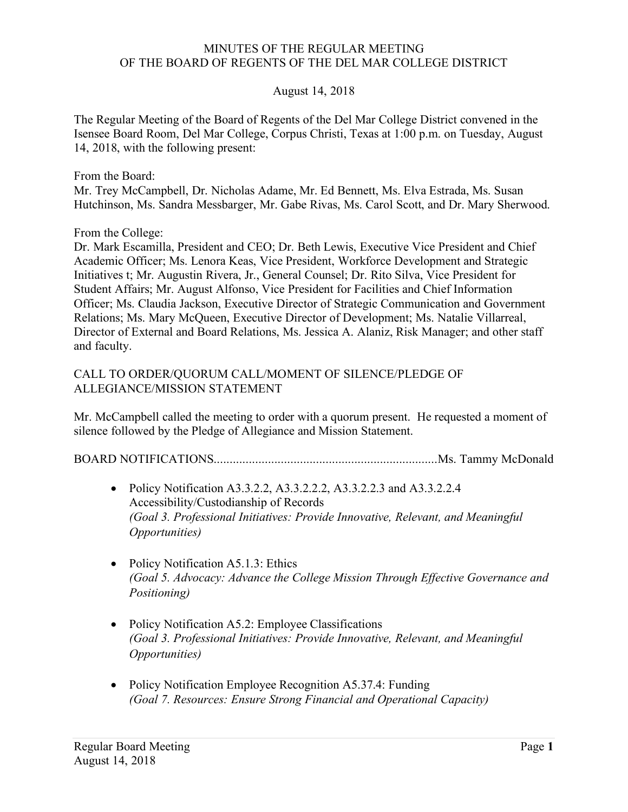#### MINUTES OF THE REGULAR MEETING OF THE BOARD OF REGENTS OF THE DEL MAR COLLEGE DISTRICT

#### August 14, 2018

 The Regular Meeting of the Board of Regents of the Del Mar College District convened in the Isensee Board Room, Del Mar College, Corpus Christi, Texas at 1:00 p.m. on Tuesday, August 14, 2018, with the following present:

From the Board:

 Mr. Trey McCampbell, Dr. Nicholas Adame, Mr. Ed Bennett, Ms. Elva Estrada, Ms. Susan Hutchinson, Ms. Sandra Messbarger, Mr. Gabe Rivas, Ms. Carol Scott, and Dr. Mary Sherwood.

From the College:

 Dr. Mark Escamilla, President and CEO; Dr. Beth Lewis, Executive Vice President and Chief Academic Officer; Ms. Lenora Keas, Vice President, Workforce Development and Strategic Initiatives t; Mr. Augustin Rivera, Jr., General Counsel; Dr. Rito Silva, Vice President for Student Affairs; Mr. August Alfonso, Vice President for Facilities and Chief Information Officer; Ms. Claudia Jackson, Executive Director of Strategic Communication and Government Relations; Ms. Mary McQueen, Executive Director of Development; Ms. Natalie Villarreal, Director of External and Board Relations, Ms. Jessica A. Alaniz, Risk Manager; and other staff and faculty.

# and faculty.<br>CALL TO ORDER/QUORUM CALL/MOMENT OF SILENCE/PLEDGE OF ALLEGIANCE/MISSION STATEMENT

 Mr. McCampbell called the meeting to order with a quorum present. He requested a moment of silence followed by the Pledge of Allegiance and Mission Statement.

BOARD [NOTIFICATIONS......................................................................Ms](https://NOTIFICATIONS......................................................................Ms). Tammy McDonald

- Policy Notification A3.3.2.2, A3.3.2.2.2, A3.3.2.2.3 and A3.3.2.2.4 Accessibility/Custodianship of Records  *(Goal 3. Professional Initiatives: Provide Innovative, Relevant, and Meaningful Opportunities)*
- Policy Notification A5.1.3: Ethics  *(Goal 5. Advocacy: Advance the College Mission Through Effective Governance and Positioning)*
- Policy Notification A5.2: Employee Classifications  *(Goal 3. Professional Initiatives: Provide Innovative, Relevant, and Meaningful Opportunities)*
- • Policy Notification Employee Recognition A5.37.4: Funding  *(Goal 7. Resources: Ensure Strong Financial and Operational Capacity)*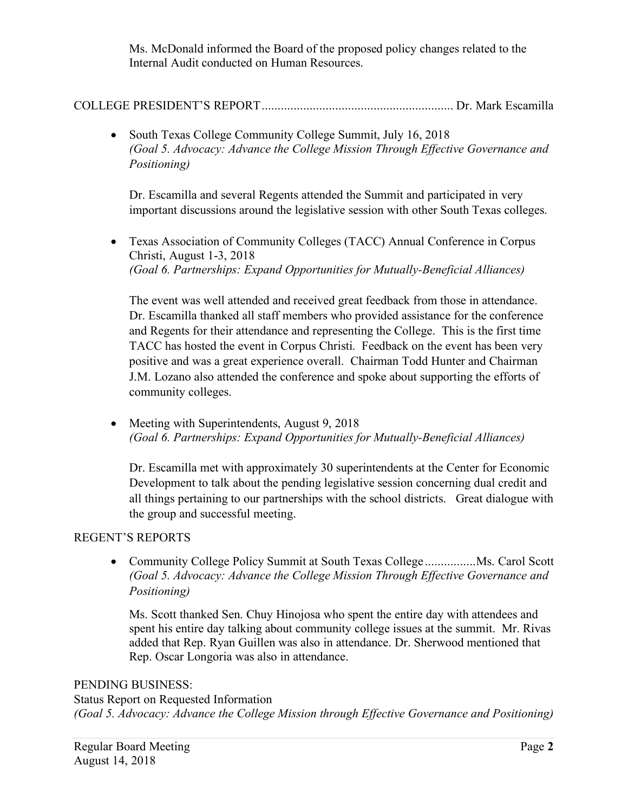Ms. McDonald informed the Board of the proposed policy changes related to the Internal Audit conducted on Human Resources.

## COLLEGE PRESIDENT'S REPORT............................................................ Dr. Mark Escamilla

 • South Texas College Community College Summit, July 16, 2018  *(Goal 5. Advocacy: Advance the College Mission Through Effective Governance and Positioning)* 

 Dr. Escamilla and several Regents attended the Summit and participated in very important discussions around the legislative session with other South Texas colleges.

 • Texas Association of Community Colleges (TACC) Annual Conference in Corpus Christi, August 1-3, 2018  *(Goal 6. Partnerships: Expand Opportunities for Mutually-Beneficial Alliances)* 

 The event was well attended and received great feedback from those in attendance. Dr. Escamilla thanked all staff members who provided assistance for the conference and Regents for their attendance and representing the College. This is the first time TACC has hosted the event in Corpus Christi. Feedback on the event has been very positive and was a great experience overall. Chairman Todd Hunter and Chairman J.M. Lozano also attended the conference and spoke about supporting the efforts of community colleges.

 • Meeting with Superintendents, August 9, 2018  *(Goal 6. Partnerships: Expand Opportunities for Mutually-Beneficial Alliances)* 

 Dr. Escamilla met with approximately 30 superintendents at the Center for Economic Development to talk about the pending legislative session concerning dual credit and all things pertaining to our partnerships with the school districts. Great dialogue with the group and successful meeting.

## REGENT'S REPORTS

• Community College Policy Summit at South Texas College ........................ Ms. Carol Scott *(Goal 5. Advocacy: Advance the College Mission Through Effective Governance and Positioning)* 

 Ms. Scott thanked Sen. Chuy Hinojosa who spent the entire day with attendees and spent his entire day talking about community college issues at the summit. Mr. Rivas added that Rep. Ryan Guillen was also in attendance. Dr. Sherwood mentioned that Rep. Oscar Longoria was also in attendance.

#### PENDING BUSINESS:

 Status Report on Requested Information  *(Goal 5. Advocacy: Advance the College Mission through Effective Governance and Positioning)*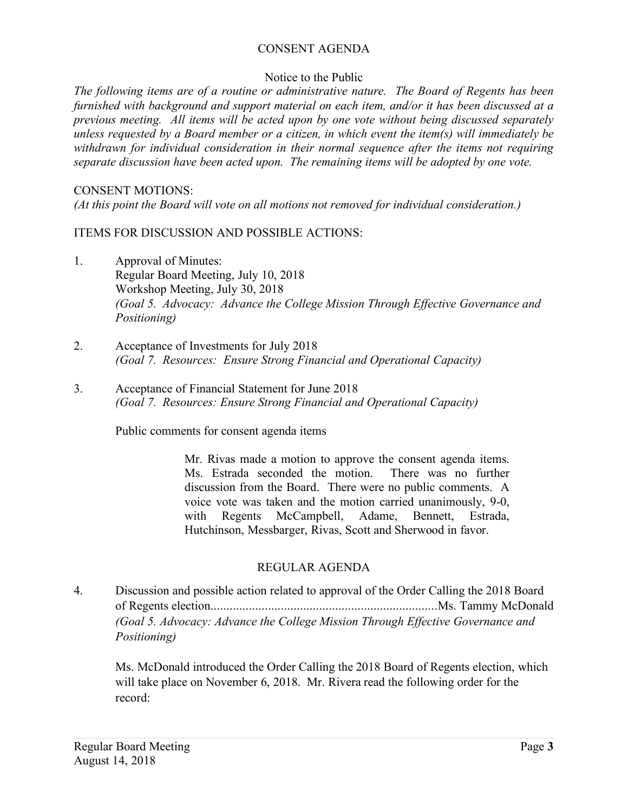## CONSENT AGENDA

## Notice to the Public

 *The following items are of a routine or administrative nature. The Board of Regents has been furnished with background and support material on each item, and/or it has been discussed at a previous meeting. All items will be acted upon by one vote without being discussed separately unless requested by a Board member or a citizen, in which event the item(s) will immediately be withdrawn for individual consideration in their normal sequence after the items not requiring*  separate discussion have been acted upon. The remaining items will be adopted by one vote.

#### CONSENT MOTIONS:

 *(At this point the Board will vote on all motions not removed for individual consideration.)* 

ITEMS FOR DISCUSSION AND POSSIBLE ACTIONS:

- 1. Approval of Minutes: Regular Board Meeting, July 10, 2018 Workshop Meeting, July 30, 2018  *(Goal 5. Advocacy: Advance the College Mission Through Effective Governance and Positioning)*
- 2. Acceptance of Investments for July 2018  *(Goal 7. Resources: Ensure Strong Financial and Operational Capacity)*
- 3. Acceptance of Financial Statement for June 2018  *(Goal 7. Resources: Ensure Strong Financial and Operational Capacity)*

Public comments for consent agenda items

 Mr. Rivas made a motion to approve the consent agenda items. Ms. Estrada seconded the motion. There was no further discussion from the Board. There were no public comments. A voice vote was taken and the motion carried unanimously, 9-0, with Regents McCampbell, Adame, Bennett, Estrada, Hutchinson, Messbarger, Rivas, Scott and Sherwood in favor.

## REGULAR AGENDA

 *(Goal 5. Advocacy: Advance the College Mission Through Effective Governance and*  4. Discussion and possible action related to approval of the Order Calling the 2018 Board of Regents [election.......................................................................Ms](https://election.......................................................................Ms). Tammy McDonald *Positioning)* 

 Ms. McDonald introduced the Order Calling the 2018 Board of Regents election, which will take place on November 6, 2018. Mr. Rivera read the following order for the record: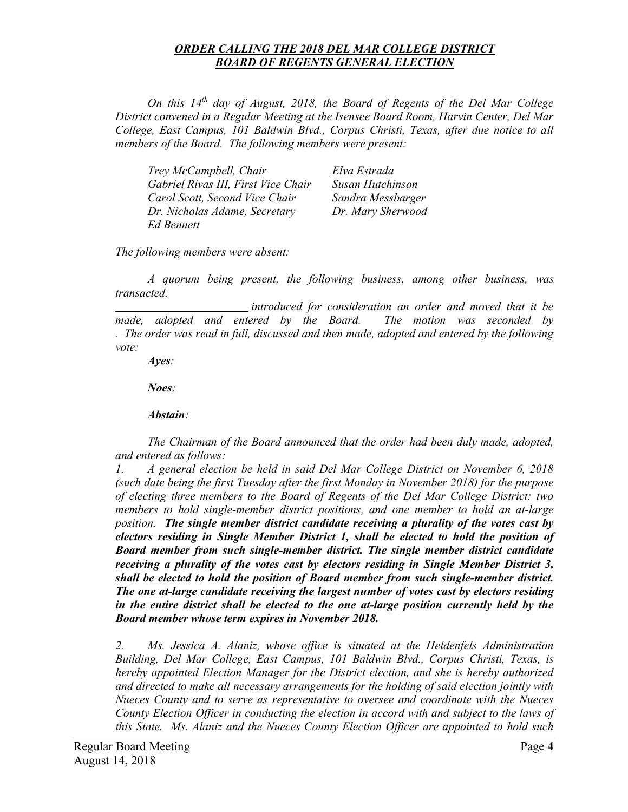#### *ORDER CALLING THE 2018 DEL MAR COLLEGE DISTRICT BOARD OF REGENTS GENERAL ELECTION*

*On this 14th day of August, 2018, the Board of Regents of the Del Mar College District convened in a Regular Meeting at the Isensee Board Room, Harvin Center, Del Mar College, East Campus, 101 Baldwin Blvd., Corpus Christi, Texas, after due notice to all members of the Board. The following members were present:* 

| Trey McCampbell, Chair              | Elva Estrada      |
|-------------------------------------|-------------------|
| Gabriel Rivas III, First Vice Chair | Susan Hutchinson  |
| Carol Scott, Second Vice Chair      | Sandra Messbarger |
| Dr. Nicholas Adame, Secretary       | Dr. Mary Sherwood |
| Ed Bennett                          |                   |

*The following members were absent:* 

*A quorum being present, the following business, among other business, was transacted.* 

 made, adopted and entered by the Board. The motion was seconded by *introduced for consideration an order and moved that it be . The order was read in full, discussed and then made, adopted and entered by the following vote:* 

*Ayes:* 

*Noes:* 

*Abstain*:<br>The Chairman of the Board announced that the order had been duly made, adopted, *and entered as follows:* 

*1. A general election be held in said Del Mar College District on November 6, 2018 (such date being the first Tuesday after the first Monday in November 2018) for the purpose of electing three members to the Board of Regents of the Del Mar College District: two members to hold single-member district positions, and one member to hold an at-large position. The single member district candidate receiving a plurality of the votes cast by electors residing in Single Member District 1, shall be elected to hold the position of Board member from such single-member district. The single member district candidate receiving a plurality of the votes cast by electors residing in Single Member District 3, shall be elected to hold the position of Board member from such single-member district. The one at-large candidate receiving the largest number of votes cast by electors residing in the entire district shall be elected to the one at-large position currently held by the Board member whose term expires in November 2018.* 

*2. Ms. Jessica A. Alaniz, whose office is situated at the Heldenfels Administration Building, Del Mar College, East Campus, 101 Baldwin Blvd., Corpus Christi, Texas, is hereby appointed Election Manager for the District election, and she is hereby authorized and directed to make all necessary arrangements for the holding of said election jointly with Nueces County and to serve as representative to oversee and coordinate with the Nueces County Election Officer in conducting the election in accord with and subject to the laws of this State. Ms. Alaniz and the Nueces County Election Officer are appointed to hold such*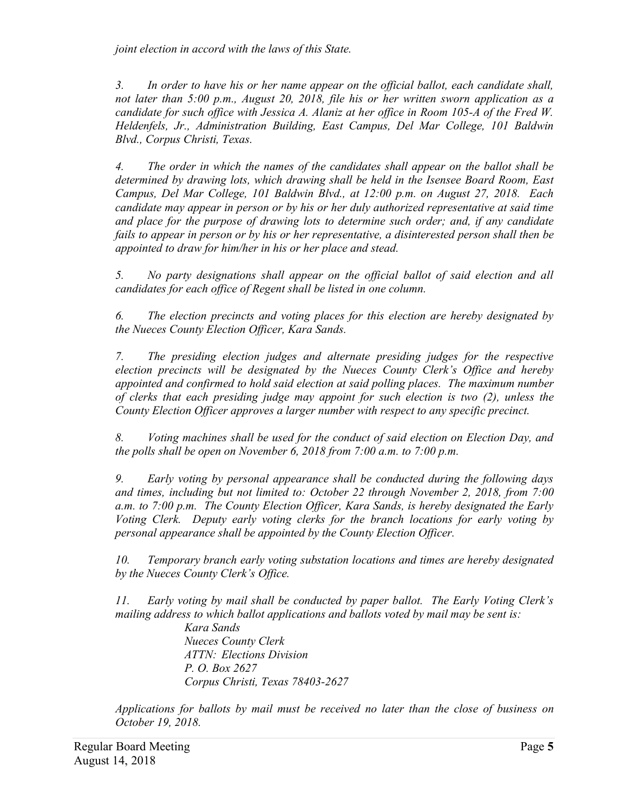*joint election in accord with the laws of this State.* 

*3. In order to have his or her name appear on the official ballot, each candidate shall, not later than 5:00 p.m., August 20, 2018, file his or her written sworn application as a candidate for such office with Jessica A. Alaniz at her office in Room 105-A of the Fred W. Heldenfels, Jr., Administration Building, East Campus, Del Mar College, 101 Baldwin Blvd., Corpus Christi, Texas.* 

*4. The order in which the names of the candidates shall appear on the ballot shall be determined by drawing lots, which drawing shall be held in the Isensee Board Room, East Campus, Del Mar College, 101 Baldwin Blvd., at 12:00 p.m. on August 27, 2018. Each candidate may appear in person or by his or her duly authorized representative at said time and place for the purpose of drawing lots to determine such order; and, if any candidate fails to appear in person or by his or her representative, a disinterested person shall then be appointed to draw for him/her in his or her place and stead.* 

*5. No party designations shall appear on the official ballot of said election and all candidates for each office of Regent shall be listed in one column.* 

*6. The election precincts and voting places for this election are hereby designated by the Nueces County Election Officer, Kara Sands.* 

*7. The presiding election judges and alternate presiding judges for the respective election precincts will be designated by the Nueces County Clerk's Office and hereby appointed and confirmed to hold said election at said polling places. The maximum number of clerks that each presiding judge may appoint for such election is two (2), unless the County Election Officer approves a larger number with respect to any specific precinct.* 

*8. Voting machines shall be used for the conduct of said election on Election Day, and the polls shall be open on November 6, 2018 from 7:00 a.m. to 7:00 p.m.* 

*9. Early voting by personal appearance shall be conducted during the following days and times, including but not limited to: October 22 through November 2, 2018, from 7:00 a.m. to 7:00 p.m. The County Election Officer, Kara Sands, is hereby designated the Early Voting Clerk. Deputy early voting clerks for the branch locations for early voting by personal appearance shall be appointed by the County Election Officer.* 

*10. Temporary branch early voting substation locations and times are hereby designated by the Nueces County Clerk's Office.* 

*11. Early voting by mail shall be conducted by paper ballot. The Early Voting Clerk's mailing address to which ballot applications and ballots voted by mail may be sent is:* 

*Kara Sands Nueces County Clerk ATTN: Elections Division P. O. Box 2627 Corpus Christi, Texas 78403-2627* 

 *Applications for ballots by mail must be received no later than the close of business on October 19, 2018.*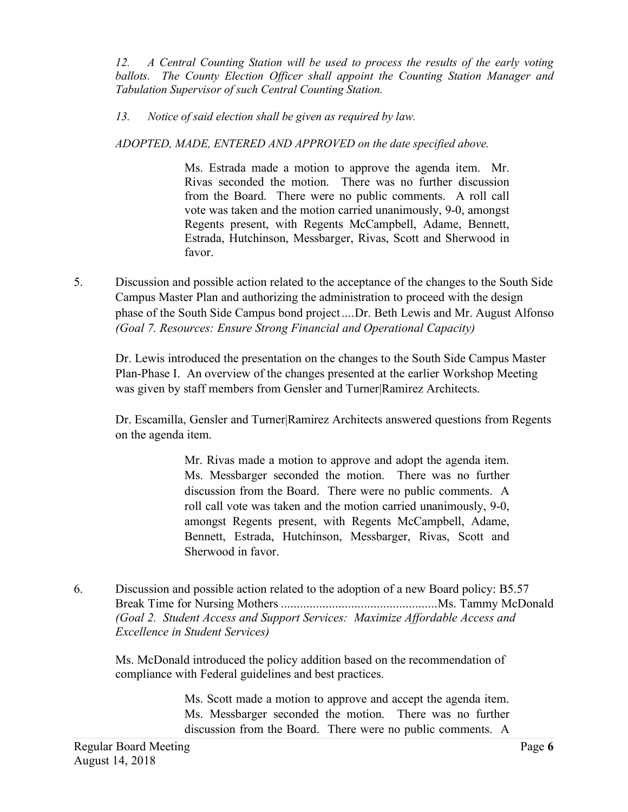*12. A Central Counting Station will be used to process the results of the early voting ballots. The County Election Officer shall appoint the Counting Station Manager and Tabulation Supervisor of such Central Counting Station.* 

## *13. Notice of said election shall be given as required by law.*

*ADOPTED, MADE, ENTERED AND APPROVED on the date specified above.* 

 Ms. Estrada made a motion to approve the agenda item. Mr. Rivas seconded the motion. There was no further discussion from the Board. There were no public comments. A roll call vote was taken and the motion carried unanimously, 9-0, amongst Regents present, with Regents McCampbell, Adame, Bennett, Estrada, Hutchinson, Messbarger, Rivas, Scott and Sherwood in favor.

5. Discussion and possible action related to the acceptance of the changes to the South Side Campus Master Plan and authorizing the administration to proceed with the design phase of the South Side Campus bond [project....Dr.](https://project....Dr) Beth Lewis and Mr. August Alfonso *(Goal 7. Resources: Ensure Strong Financial and Operational Capacity)* 

 Dr. Lewis introduced the presentation on the changes to the South Side Campus Master Plan-Phase I. An overview of the changes presented at the earlier Workshop Meeting was given by staff members from Gensler and Turner|Ramirez Architects.

 Dr. Escamilla, Gensler and Turner|Ramirez Architects answered questions from Regents on the agenda item.

> Mr. Rivas made a motion to approve and adopt the agenda item. Ms. Messbarger seconded the motion. There was no further discussion from the Board. There were no public comments. A roll call vote was taken and the motion carried unanimously, 9-0, amongst Regents present, with Regents McCampbell, Adame, Bennett, Estrada, Hutchinson, Messbarger, Rivas, Scott and Sherwood in favor.

 6. Discussion and possible action related to the adoption of a new Board policy: B5.57 Break Time for Nursing Mothers .................................................Ms. Tammy McDonald  *(Goal 2. Student Access and Support Services: Maximize Affordable Access and Excellence in Student Services)* 

 compliance with Federal guidelines and best practices. Ms. McDonald introduced the policy addition based on the recommendation of

> Ms. Scott made a motion to approve and accept the agenda item. Ms. Messbarger seconded the motion. There was no further discussion from the Board. There were no public comments. A